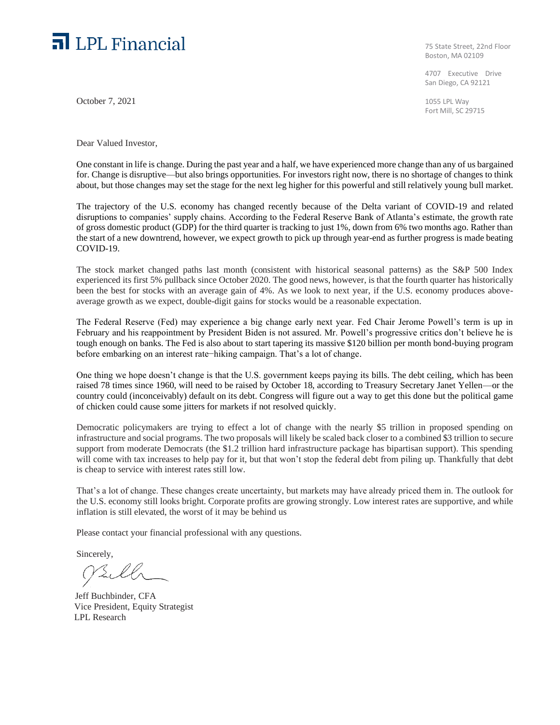## **n** LPL Financial

October 7, 2021

Dear Valued Investor,

75 State Street, 22nd Floor Boston, MA 02109

4707 Executive Drive San Diego, CA 92121

1055 LPL Way Fort Mill, SC 29715

One constant in life is change. During the past year and a half, we have experienced more change than any of us bargained for. Change is disruptive—but also brings opportunities. For investors right now, there is no shortage of changes to think about, but those changes may set the stage for the next leg higher for this powerful and still relatively young bull market.

The trajectory of the U.S. economy has changed recently because of the Delta variant of COVID-19 and related disruptions to companies' supply chains. According to the Federal Reserve Bank of Atlanta's estimate, the growth rate of gross domestic product (GDP) for the third quarter is tracking to just 1%, down from 6% two months ago. Rather than the start of a new downtrend, however, we expect growth to pick up through year-end as further progress is made beating COVID-19.

The stock market changed paths last month (consistent with historical seasonal patterns) as the S&P 500 Index experienced its first 5% pullback since October 2020. The good news, however, is that the fourth quarter has historically been the best for stocks with an average gain of 4%. As we look to next year, if the U.S. economy produces aboveaverage growth as we expect, double-digit gains for stocks would be a reasonable expectation.

The Federal Reserve (Fed) may experience a big change early next year. Fed Chair Jerome Powell's term is up in February and his reappointment by President Biden is not assured. Mr. Powell's progressive critics don't believe he is tough enough on banks. The Fed is also about to start tapering its massive \$120 billion per month bond-buying program before embarking on an interest rate−hiking campaign. That's a lot of change.

One thing we hope doesn't change is that the U.S. government keeps paying its bills. The debt ceiling, which has been raised 78 times since 1960, will need to be raised by October 18, according to Treasury Secretary Janet Yellen—or the country could (inconceivably) default on its debt. Congress will figure out a way to get this done but the political game of chicken could cause some jitters for markets if not resolved quickly.

Democratic policymakers are trying to effect a lot of change with the nearly \$5 trillion in proposed spending on infrastructure and social programs. The two proposals will likely be scaled back closer to a combined \$3 trillion to secure support from moderate Democrats (the \$1.2 trillion hard infrastructure package has bipartisan support). This spending will come with tax increases to help pay for it, but that won't stop the federal debt from piling up. Thankfully that debt is cheap to service with interest rates still low.

That's a lot of change. These changes create uncertainty, but markets may have already priced them in. The outlook for the U.S. economy still looks bright. Corporate profits are growing strongly. Low interest rates are supportive, and while inflation is still elevated, the worst of it may be behind us

Please contact your financial professional with any questions.

Sincerely,

PSill

 Jeff Buchbinder, CFA Vice President, Equity Strategist LPL Research